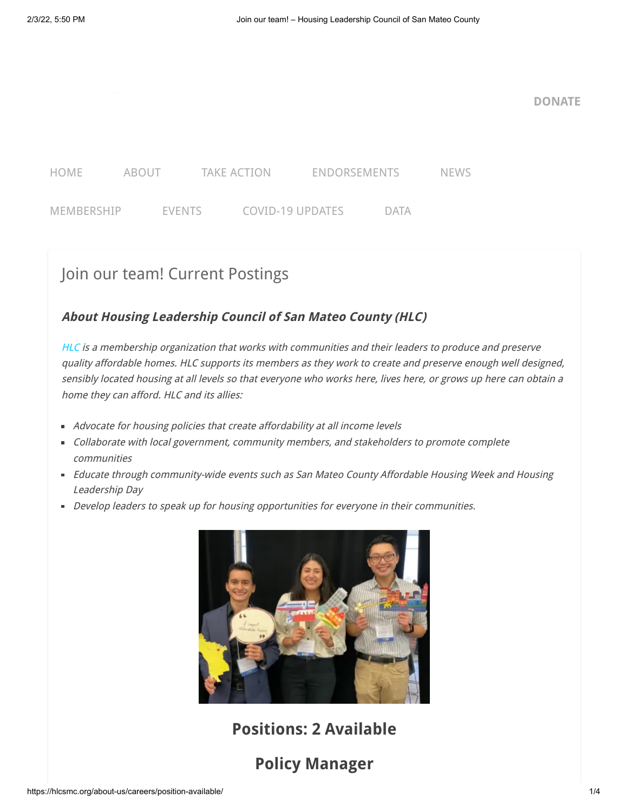

**[DONATE](https://hlcsmc.salsalabs.org/hlcmembershipdonation/index.html)**



# Join our team! Current Postings

# **About Housing Leadership Council of San Mateo County (HLC)**

[HLC](http://www.hlcsmc.org/) is a membership organization that works with communities and their leaders to produce and preserve quality affordable homes. HLC supports its members as they work to create and preserve enough well designed, sensibly located housing at all levels so that everyone who works here, lives here, or grows up here can obtain a home they can afford. HLC and its allies:

- **Advocate for housing policies that create affordability at all income levels**
- Collaborate with local government, community members, and stakeholders to promote complete communities
- **Educate through community-wide events such as San Mateo County Affordable Housing Week and Housing** Leadership Day
- Develop leaders to speak up for housing opportunities for everyone in their communities.



**Positions: 2 Available**

# **Policy Manager**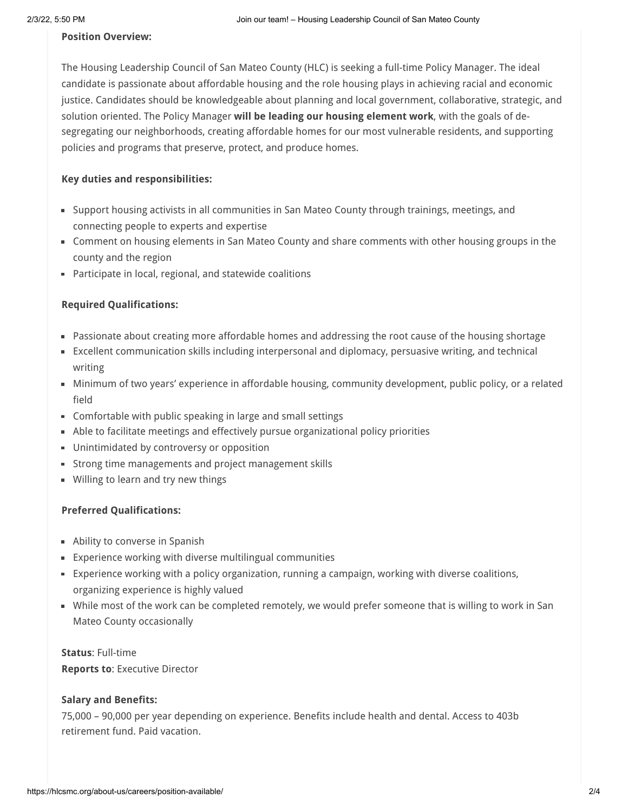#### **Position Overview:**

The Housing Leadership Council of San Mateo County (HLC) is seeking a full-time Policy Manager. The ideal candidate is passionate about affordable housing and the role housing plays in achieving racial and economic justice. Candidates should be knowledgeable about planning and local government, collaborative, strategic, and solution oriented. The Policy Manager **will be leading our housing element work**, with the goals of desegregating our neighborhoods, creating affordable homes for our most vulnerable residents, and supporting policies and programs that preserve, protect, and produce homes.

#### **Key duties and responsibilities:**

- Support housing activists in all communities in San Mateo County through trainings, meetings, and connecting people to experts and expertise
- Comment on housing elements in San Mateo County and share comments with other housing groups in the county and the region
- Participate in local, regional, and statewide coalitions

# **Required Qualifications:**

- Passionate about creating more affordable homes and addressing the root cause of the housing shortage
- Excellent communication skills including interpersonal and diplomacy, persuasive writing, and technical writing
- Minimum of two years' experience in affordable housing, community development, public policy, or a related field
- Comfortable with public speaking in large and small settings
- Able to facilitate meetings and effectively pursue organizational policy priorities
- **Unintimidated by controversy or opposition**
- **Strong time managements and project management skills**
- **Willing to learn and try new things**

# **Preferred Qualifications:**

- **Ability to converse in Spanish**
- Experience working with diverse multilingual communities
- Experience working with a policy organization, running a campaign, working with diverse coalitions, organizing experience is highly valued
- While most of the work can be completed remotely, we would prefer someone that is willing to work in San Mateo County occasionally

# **Status**: Full-time

**Reports to**: Executive Director

#### **Salary and Benefits:**

75,000 – 90,000 per year depending on experience. Benefits include health and dental. Access to 403b retirement fund. Paid vacation.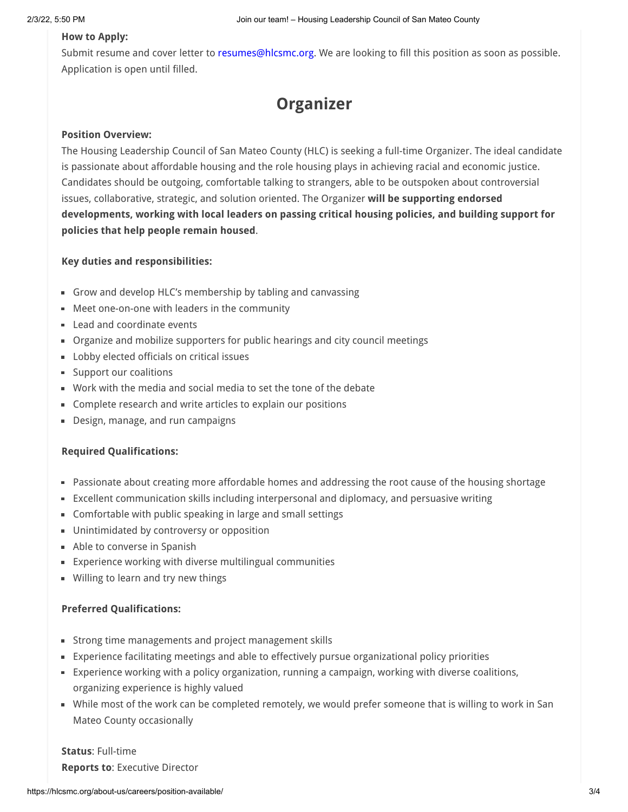# **How to Apply:**

Submit resume and cover letter to [resumes@hlcsmc.org](mailto:resumes@hlcsmc.org). We are looking to fill this position as soon as possible. Application is open until filled.

**Organizer**

# **Position Overview:**

The Housing Leadership Council of San Mateo County (HLC) is seeking a full-time Organizer. The ideal candidate is passionate about affordable housing and the role housing plays in achieving racial and economic justice. Candidates should be outgoing, comfortable talking to strangers, able to be outspoken about controversial issues, collaborative, strategic, and solution oriented. The Organizer **will be supporting endorsed developments, working with local leaders on passing critical housing policies, and building support for policies that help people remain housed**.

#### **Key duties and responsibilities:**

- Grow and develop HLC's membership by tabling and canvassing
- Meet one-on-one with leaders in the community
- **Lead and coordinate events**
- Organize and mobilize supporters for public hearings and city council meetings
- **Lobby elected officials on critical issues**
- **Support our coalitions**
- Work with the media and social media to set the tone of the debate
- Complete research and write articles to explain our positions
- Design, manage, and run campaigns

#### **Required Qualifications:**

- Passionate about creating more affordable homes and addressing the root cause of the housing shortage
- Excellent communication skills including interpersonal and diplomacy, and persuasive writing
- Comfortable with public speaking in large and small settings
- **Unintimidated by controversy or opposition**
- **Able to converse in Spanish**
- Experience working with diverse multilingual communities
- **Willing to learn and try new things**

#### **Preferred Qualifications:**

- Strong time managements and project management skills
- Experience facilitating meetings and able to effectively pursue organizational policy priorities
- Experience working with a policy organization, running a campaign, working with diverse coalitions, organizing experience is highly valued
- While most of the work can be completed remotely, we would prefer someone that is willing to work in San Mateo County occasionally

**Status**: Full-time **Reports to**: Executive Director